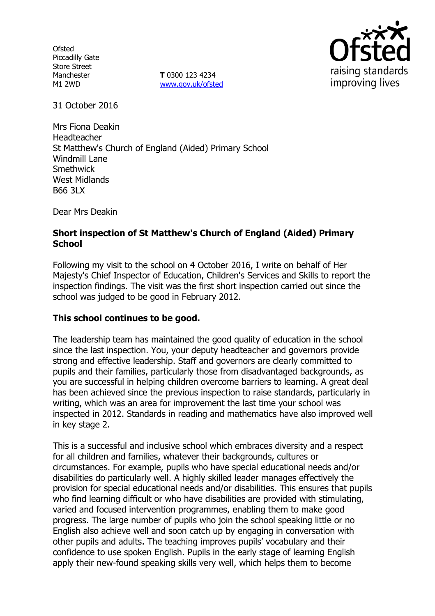**Ofsted** Piccadilly Gate Store Street Manchester M1 2WD

**T** 0300 123 4234 www.gov.uk/ofsted



31 October 2016

Mrs Fiona Deakin Headteacher St Matthew's Church of England (Aided) Primary School Windmill Lane **Smethwick** West Midlands B66 3LX

Dear Mrs Deakin

## **Short inspection of St Matthew's Church of England (Aided) Primary School**

Following my visit to the school on 4 October 2016, I write on behalf of Her Majesty's Chief Inspector of Education, Children's Services and Skills to report the inspection findings. The visit was the first short inspection carried out since the school was judged to be good in February 2012.

#### **This school continues to be good.**

The leadership team has maintained the good quality of education in the school since the last inspection. You, your deputy headteacher and governors provide strong and effective leadership. Staff and governors are clearly committed to pupils and their families, particularly those from disadvantaged backgrounds, as you are successful in helping children overcome barriers to learning. A great deal has been achieved since the previous inspection to raise standards, particularly in writing, which was an area for improvement the last time your school was inspected in 2012. Standards in reading and mathematics have also improved well in key stage 2.

This is a successful and inclusive school which embraces diversity and a respect for all children and families, whatever their backgrounds, cultures or circumstances. For example, pupils who have special educational needs and/or disabilities do particularly well. A highly skilled leader manages effectively the provision for special educational needs and/or disabilities. This ensures that pupils who find learning difficult or who have disabilities are provided with stimulating, varied and focused intervention programmes, enabling them to make good progress. The large number of pupils who join the school speaking little or no English also achieve well and soon catch up by engaging in conversation with other pupils and adults. The teaching improves pupils' vocabulary and their confidence to use spoken English. Pupils in the early stage of learning English apply their new-found speaking skills very well, which helps them to become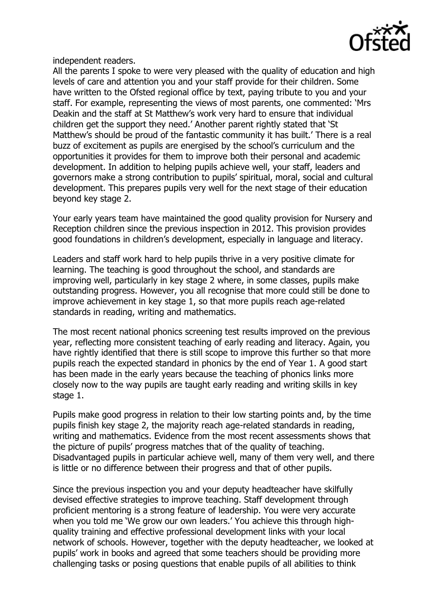

independent readers.

All the parents I spoke to were very pleased with the quality of education and high levels of care and attention you and your staff provide for their children. Some have written to the Ofsted regional office by text, paying tribute to you and your staff. For example, representing the views of most parents, one commented: 'Mrs Deakin and the staff at St Matthew's work very hard to ensure that individual children get the support they need.' Another parent rightly stated that 'St Matthew's should be proud of the fantastic community it has built.' There is a real buzz of excitement as pupils are energised by the school's curriculum and the opportunities it provides for them to improve both their personal and academic development. In addition to helping pupils achieve well, your staff, leaders and governors make a strong contribution to pupils' spiritual, moral, social and cultural development. This prepares pupils very well for the next stage of their education beyond key stage 2.

Your early years team have maintained the good quality provision for Nursery and Reception children since the previous inspection in 2012. This provision provides good foundations in children's development, especially in language and literacy.

Leaders and staff work hard to help pupils thrive in a very positive climate for learning. The teaching is good throughout the school, and standards are improving well, particularly in key stage 2 where, in some classes, pupils make outstanding progress. However, you all recognise that more could still be done to improve achievement in key stage 1, so that more pupils reach age-related standards in reading, writing and mathematics.

The most recent national phonics screening test results improved on the previous year, reflecting more consistent teaching of early reading and literacy. Again, you have rightly identified that there is still scope to improve this further so that more pupils reach the expected standard in phonics by the end of Year 1. A good start has been made in the early years because the teaching of phonics links more closely now to the way pupils are taught early reading and writing skills in key stage 1.

Pupils make good progress in relation to their low starting points and, by the time pupils finish key stage 2, the majority reach age-related standards in reading, writing and mathematics. Evidence from the most recent assessments shows that the picture of pupils' progress matches that of the quality of teaching. Disadvantaged pupils in particular achieve well, many of them very well, and there is little or no difference between their progress and that of other pupils.

Since the previous inspection you and your deputy headteacher have skilfully devised effective strategies to improve teaching. Staff development through proficient mentoring is a strong feature of leadership. You were very accurate when you told me 'We grow our own leaders.' You achieve this through highquality training and effective professional development links with your local network of schools. However, together with the deputy headteacher, we looked at pupils' work in books and agreed that some teachers should be providing more challenging tasks or posing questions that enable pupils of all abilities to think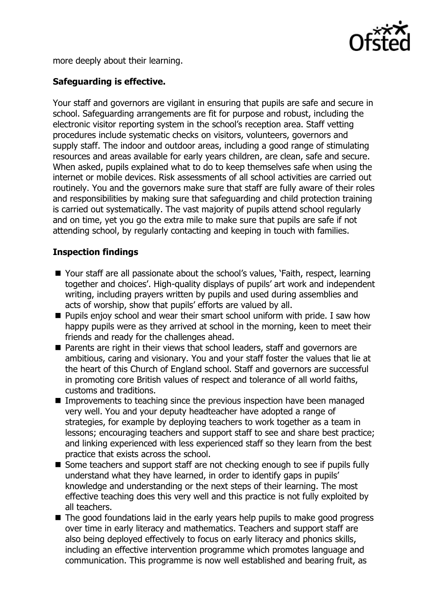

more deeply about their learning.

# **Safeguarding is effective.**

Your staff and governors are vigilant in ensuring that pupils are safe and secure in school. Safeguarding arrangements are fit for purpose and robust, including the electronic visitor reporting system in the school's reception area. Staff vetting procedures include systematic checks on visitors, volunteers, governors and supply staff. The indoor and outdoor areas, including a good range of stimulating resources and areas available for early years children, are clean, safe and secure. When asked, pupils explained what to do to keep themselves safe when using the internet or mobile devices. Risk assessments of all school activities are carried out routinely. You and the governors make sure that staff are fully aware of their roles and responsibilities by making sure that safeguarding and child protection training is carried out systematically. The vast majority of pupils attend school regularly and on time, yet you go the extra mile to make sure that pupils are safe if not attending school, by regularly contacting and keeping in touch with families.

# **Inspection findings**

- Your staff are all passionate about the school's values, 'Faith, respect, learning together and choices'. High-quality displays of pupils' art work and independent writing, including prayers written by pupils and used during assemblies and acts of worship, show that pupils' efforts are valued by all.
- $\blacksquare$  Pupils enjoy school and wear their smart school uniform with pride. I saw how happy pupils were as they arrived at school in the morning, keen to meet their friends and ready for the challenges ahead.
- **Parents are right in their views that school leaders, staff and governors are** ambitious, caring and visionary. You and your staff foster the values that lie at the heart of this Church of England school. Staff and governors are successful in promoting core British values of respect and tolerance of all world faiths, customs and traditions.
- Improvements to teaching since the previous inspection have been managed very well. You and your deputy headteacher have adopted a range of strategies, for example by deploying teachers to work together as a team in lessons; encouraging teachers and support staff to see and share best practice; and linking experienced with less experienced staff so they learn from the best practice that exists across the school.
- Some teachers and support staff are not checking enough to see if pupils fully understand what they have learned, in order to identify gaps in pupils' knowledge and understanding or the next steps of their learning. The most effective teaching does this very well and this practice is not fully exploited by all teachers.
- The good foundations laid in the early years help pupils to make good progress over time in early literacy and mathematics. Teachers and support staff are also being deployed effectively to focus on early literacy and phonics skills, including an effective intervention programme which promotes language and communication. This programme is now well established and bearing fruit, as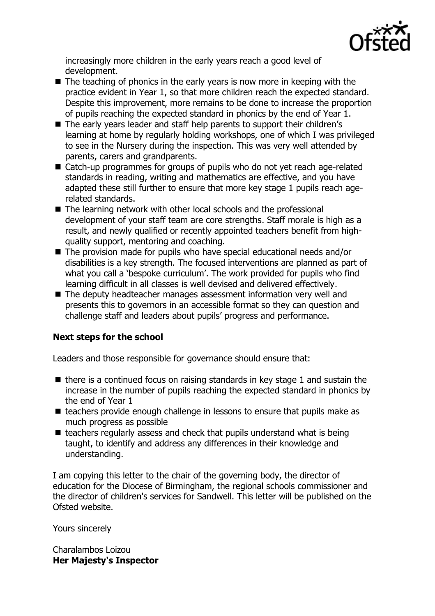

increasingly more children in the early years reach a good level of development.

- $\blacksquare$  The teaching of phonics in the early years is now more in keeping with the practice evident in Year 1, so that more children reach the expected standard. Despite this improvement, more remains to be done to increase the proportion of pupils reaching the expected standard in phonics by the end of Year 1.
- The early years leader and staff help parents to support their children's learning at home by regularly holding workshops, one of which I was privileged to see in the Nursery during the inspection. This was very well attended by parents, carers and grandparents.
- Catch-up programmes for groups of pupils who do not yet reach age-related standards in reading, writing and mathematics are effective, and you have adapted these still further to ensure that more key stage 1 pupils reach agerelated standards.
- The learning network with other local schools and the professional development of your staff team are core strengths. Staff morale is high as a result, and newly qualified or recently appointed teachers benefit from highquality support, mentoring and coaching.
- The provision made for pupils who have special educational needs and/or disabilities is a key strength. The focused interventions are planned as part of what you call a 'bespoke curriculum'. The work provided for pupils who find learning difficult in all classes is well devised and delivered effectively.
- The deputy headteacher manages assessment information very well and presents this to governors in an accessible format so they can question and challenge staff and leaders about pupils' progress and performance.

# **Next steps for the school**

Leaders and those responsible for governance should ensure that:

- $\blacksquare$  there is a continued focus on raising standards in key stage 1 and sustain the increase in the number of pupils reaching the expected standard in phonics by the end of Year 1
- $\blacksquare$  teachers provide enough challenge in lessons to ensure that pupils make as much progress as possible
- $\blacksquare$  teachers regularly assess and check that pupils understand what is being taught, to identify and address any differences in their knowledge and understanding.

I am copying this letter to the chair of the governing body, the director of education for the Diocese of Birmingham, the regional schools commissioner and the director of children's services for Sandwell. This letter will be published on the Ofsted website.

Yours sincerely

Charalambos Loizou **Her Majesty's Inspector**